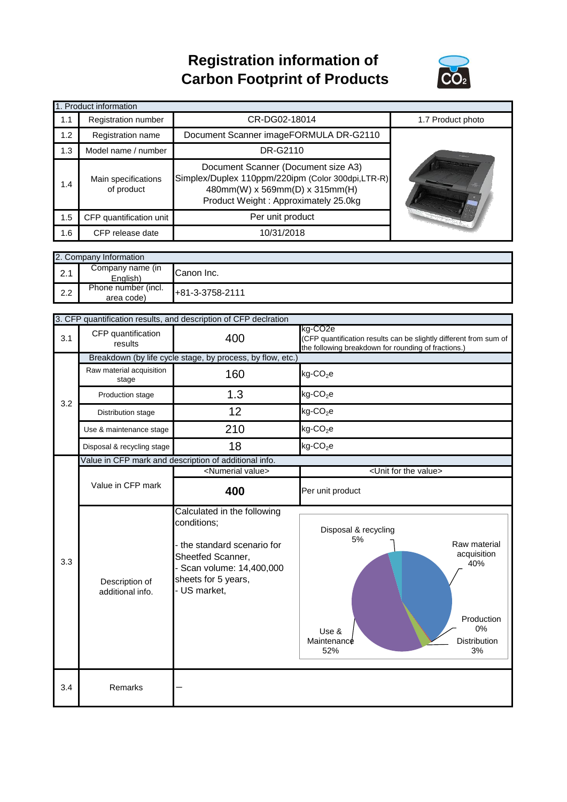## **Registration information of Carbon Footprint of Products**



| 1. Product information |                                                                                                                                                                                                         |                                        |                   |  |  |
|------------------------|---------------------------------------------------------------------------------------------------------------------------------------------------------------------------------------------------------|----------------------------------------|-------------------|--|--|
| 1.1                    | Registration number                                                                                                                                                                                     | CR-DG02-18014                          | 1.7 Product photo |  |  |
| 1.2                    | Registration name                                                                                                                                                                                       | Document Scanner imageFORMULA DR-G2110 |                   |  |  |
| 1.3                    | Model name / number                                                                                                                                                                                     | DR-G2110                               |                   |  |  |
| 1.4                    | Document Scanner (Document size A3)<br>Simplex/Duplex 110ppm/220ipm (Color 300dpi,LTR-R)<br>Main specifications<br>of product<br>480mm(W) x 569mm(D) x 315mm(H)<br>Product Weight: Approximately 25.0kg |                                        |                   |  |  |
| 1.5                    | CFP quantification unit                                                                                                                                                                                 | Per unit product                       |                   |  |  |
| 1.6                    | CFP release date                                                                                                                                                                                        | 10/31/2018                             |                   |  |  |

|     | 2. Company Information            |                 |  |  |  |
|-----|-----------------------------------|-----------------|--|--|--|
| 2.1 | Company name (in<br>English)      | Canon Inc.      |  |  |  |
| 2.2 | Phone number (incl.<br>area code) | +81-3-3758-2111 |  |  |  |

|     | 3. CFP quantification results, and description of CFP declration |                                                                                                                                                                  |                                                                                                                                                  |  |
|-----|------------------------------------------------------------------|------------------------------------------------------------------------------------------------------------------------------------------------------------------|--------------------------------------------------------------------------------------------------------------------------------------------------|--|
| 3.1 | CFP quantification<br>results                                    | 400                                                                                                                                                              | kg-CO <sub>2e</sub><br>(CFP quantification results can be slightly different from sum of<br>the following breakdown for rounding of fractions.)  |  |
|     | Breakdown (by life cycle stage, by process, by flow, etc.)       |                                                                                                                                                                  |                                                                                                                                                  |  |
|     | Raw material acquisition<br>stage                                | 160                                                                                                                                                              | $kg$ -CO <sub>2</sub> e                                                                                                                          |  |
| 3.2 | Production stage                                                 | 1.3                                                                                                                                                              | $kg$ -CO <sub>2</sub> e                                                                                                                          |  |
|     | Distribution stage                                               | 12                                                                                                                                                               | $kg$ -CO <sub>2</sub> e                                                                                                                          |  |
|     | Use & maintenance stage                                          | 210                                                                                                                                                              | $kg$ -CO <sub>2</sub> e                                                                                                                          |  |
|     | Disposal & recycling stage                                       | 18                                                                                                                                                               | $kg$ -CO <sub>2</sub> e                                                                                                                          |  |
|     |                                                                  | Value in CFP mark and description of additional info.                                                                                                            |                                                                                                                                                  |  |
|     |                                                                  | <numerial value=""></numerial>                                                                                                                                   | <unit for="" the="" value=""></unit>                                                                                                             |  |
|     | Value in CFP mark                                                | 400                                                                                                                                                              | Per unit product                                                                                                                                 |  |
| 3.3 | Description of<br>additional info.                               | Calculated in the following<br>conditions;<br>- the standard scenario for<br>Sheetfed Scanner,<br>Scan volume: 14,400,000<br>sheets for 5 years,<br>- US market, | Disposal & recycling<br>5%<br>Raw material<br>acquisition<br>40%<br>Production<br>0%<br>Use &<br><b>Distribution</b><br>Maintenance<br>3%<br>52% |  |
| 3.4 | Remarks                                                          |                                                                                                                                                                  |                                                                                                                                                  |  |